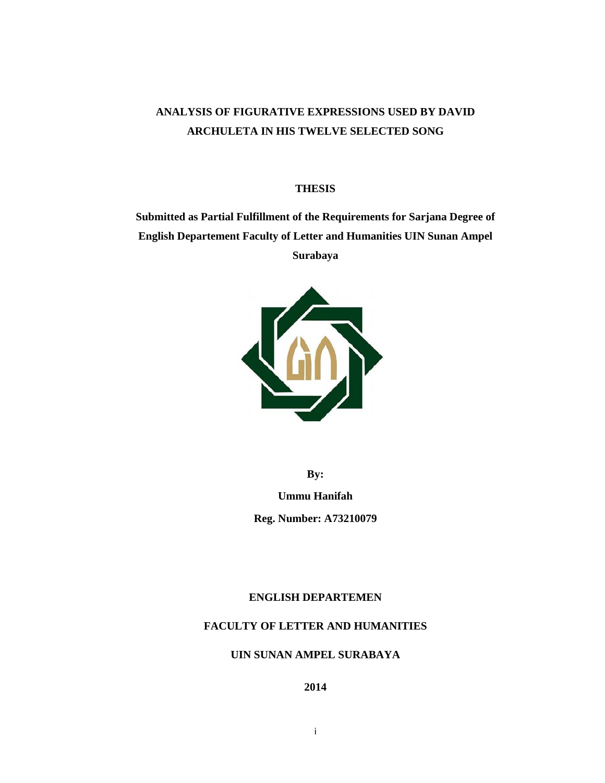# **ANALYSIS OF FIGURATIVE EXPRESSIONS USED BY DAVID ARCHULETA IN HIS TWELVE SELECTED SONG**

#### **THESIS**

**Submitted as Partial Fulfillment of the Requirements for Sarjana Degree of English Departement Faculty of Letter and Humanities UIN Sunan Ampel Surabaya** 



**By:** 

**Ummu Hanifah Reg. Number: A73210079** 

### **ENGLISH DEPARTEMEN**

## **FACULTY OF LETTER AND HUMANITIES**

## **UIN SUNAN AMPEL SURABAYA**

**2014**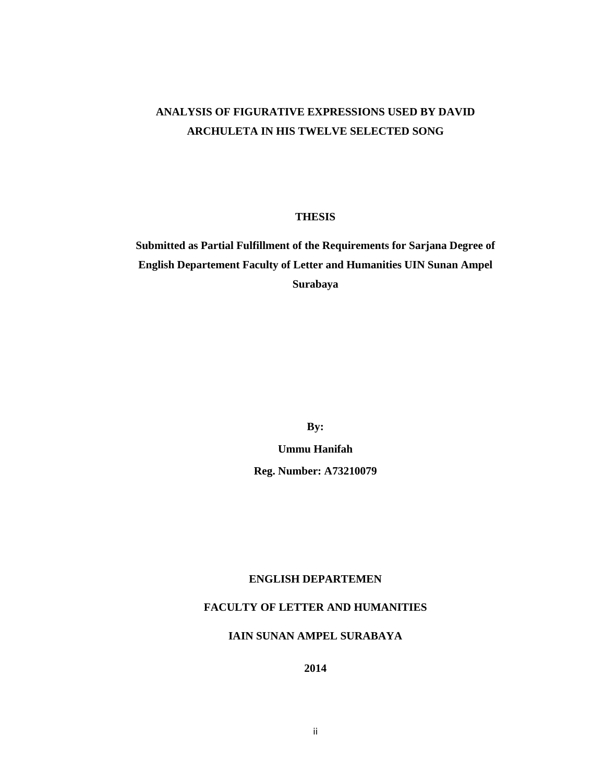# **ANALYSIS OF FIGURATIVE EXPRESSIONS USED BY DAVID ARCHULETA IN HIS TWELVE SELECTED SONG**

#### **THESIS**

**Submitted as Partial Fulfillment of the Requirements for Sarjana Degree of English Departement Faculty of Letter and Humanities UIN Sunan Ampel Surabaya** 

**By:** 

**Ummu Hanifah Reg. Number: A73210079** 

## **ENGLISH DEPARTEMEN**

### **FACULTY OF LETTER AND HUMANITIES**

#### **IAIN SUNAN AMPEL SURABAYA**

**2014**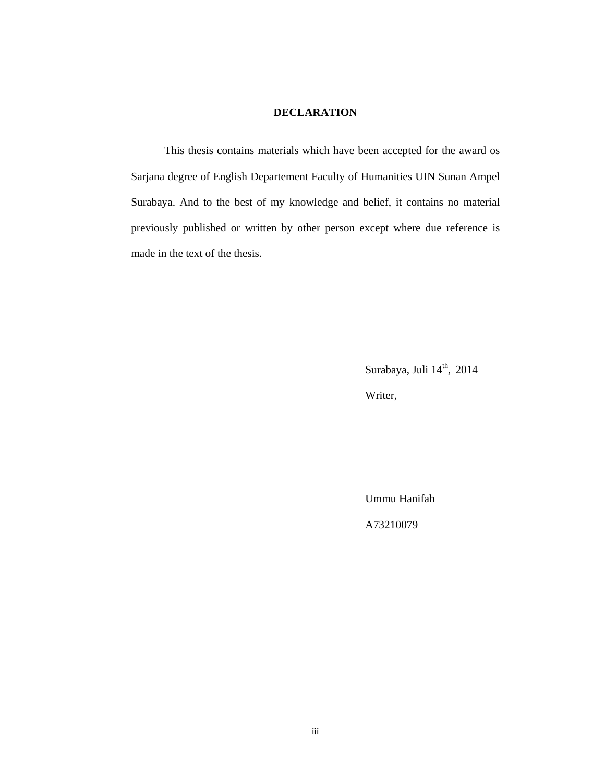#### **DECLARATION**

This thesis contains materials which have been accepted for the award os Sarjana degree of English Departement Faculty of Humanities UIN Sunan Ampel Surabaya. And to the best of my knowledge and belief, it contains no material previously published or written by other person except where due reference is made in the text of the thesis.

Surabaya, Juli 14<sup>th</sup>, 2014

Writer,

Ummu Hanifah

A73210079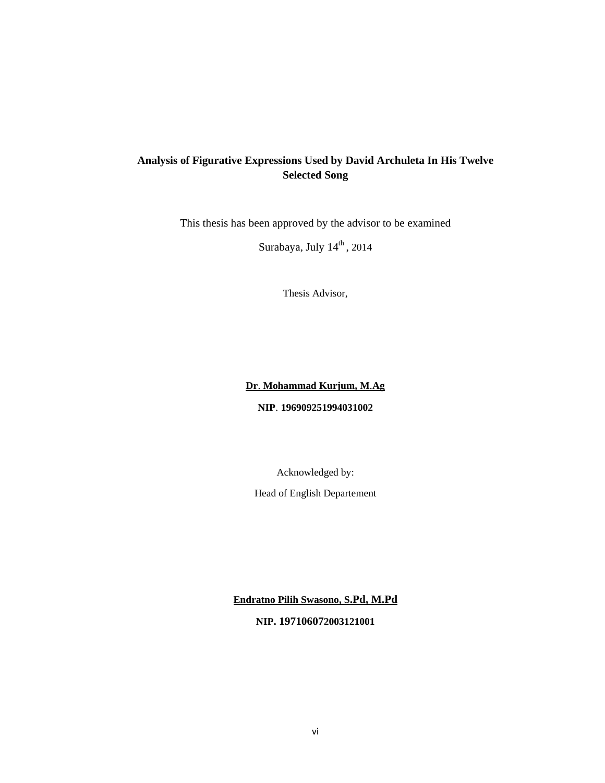## **Analysis of Figurative Expressions Used by David Archuleta In His Twelve Selected Song**

This thesis has been approved by the advisor to be examined

Surabaya, July 14<sup>th</sup>, 2014

Thesis Advisor,

### **Dr**. **Mohammad Kurjum, M**.**Ag**

#### **NIP**. **196909251994031002**

Acknowledged by:

Head of English Departement

**Endratno Pilih Swasono, S.Pd, M.Pd**

**NIP. 197106072003121001**